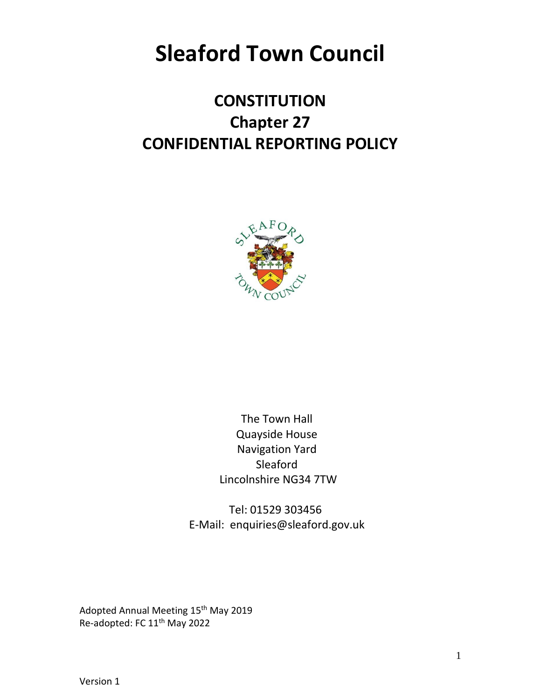# **Sleaford Town Council**

# **CONSTITUTION Chapter 27 CONFIDENTIAL REPORTING POLICY**



The Town Hall Quayside House Navigation Yard Sleaford Lincolnshire NG34 7TW

Tel: 01529 303456 E-Mail: enquiries@sleaford.gov.uk

Adopted Annual Meeting 15<sup>th</sup> May 2019 Re-adopted: FC 11<sup>th</sup> May 2022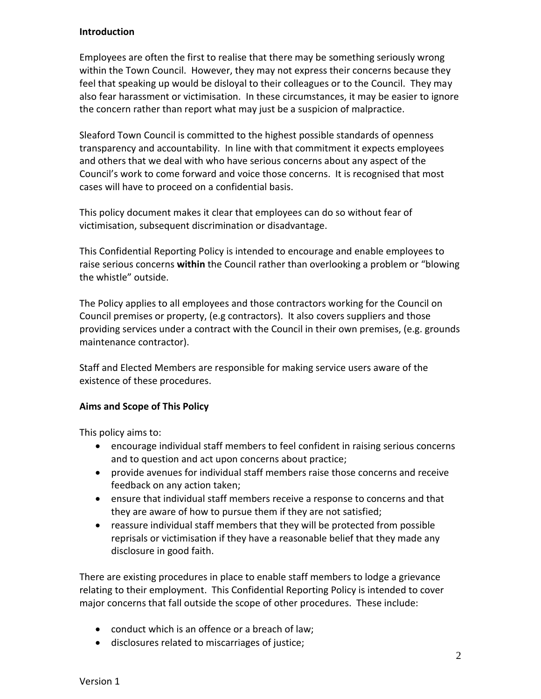#### **Introduction**

Employees are often the first to realise that there may be something seriously wrong within the Town Council. However, they may not express their concerns because they feel that speaking up would be disloyal to their colleagues or to the Council. They may also fear harassment or victimisation. In these circumstances, it may be easier to ignore the concern rather than report what may just be a suspicion of malpractice.

Sleaford Town Council is committed to the highest possible standards of openness transparency and accountability. In line with that commitment it expects employees and others that we deal with who have serious concerns about any aspect of the Council's work to come forward and voice those concerns. It is recognised that most cases will have to proceed on a confidential basis.

This policy document makes it clear that employees can do so without fear of victimisation, subsequent discrimination or disadvantage.

This Confidential Reporting Policy is intended to encourage and enable employees to raise serious concerns **within** the Council rather than overlooking a problem or "blowing the whistle" outside.

The Policy applies to all employees and those contractors working for the Council on Council premises or property, (e.g contractors). It also covers suppliers and those providing services under a contract with the Council in their own premises, (e.g. grounds maintenance contractor).

Staff and Elected Members are responsible for making service users aware of the existence of these procedures.

#### **Aims and Scope of This Policy**

This policy aims to:

- encourage individual staff members to feel confident in raising serious concerns and to question and act upon concerns about practice;
- provide avenues for individual staff members raise those concerns and receive feedback on any action taken;
- ensure that individual staff members receive a response to concerns and that they are aware of how to pursue them if they are not satisfied;
- reassure individual staff members that they will be protected from possible reprisals or victimisation if they have a reasonable belief that they made any disclosure in good faith.

There are existing procedures in place to enable staff members to lodge a grievance relating to their employment. This Confidential Reporting Policy is intended to cover major concerns that fall outside the scope of other procedures. These include:

- conduct which is an offence or a breach of law;
- disclosures related to miscarriages of justice;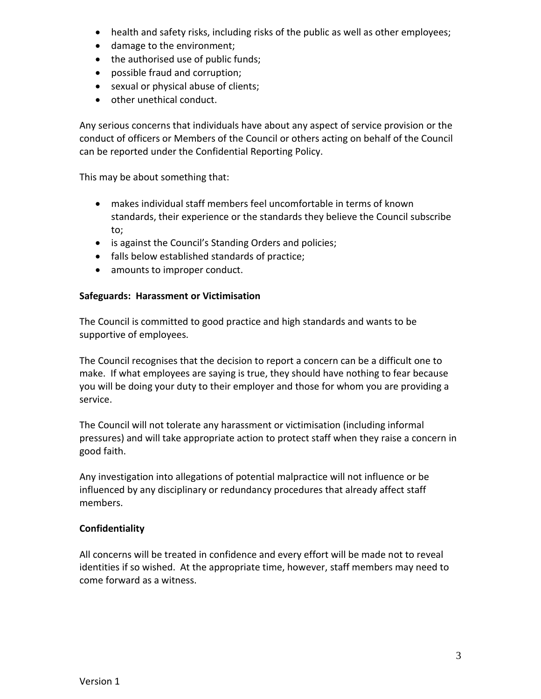- health and safety risks, including risks of the public as well as other employees;
- damage to the environment;
- the authorised use of public funds;
- possible fraud and corruption;
- sexual or physical abuse of clients;
- other unethical conduct.

Any serious concerns that individuals have about any aspect of service provision or the conduct of officers or Members of the Council or others acting on behalf of the Council can be reported under the Confidential Reporting Policy.

This may be about something that:

- makes individual staff members feel uncomfortable in terms of known standards, their experience or the standards they believe the Council subscribe to;
- is against the Council's Standing Orders and policies;
- falls below established standards of practice;
- amounts to improper conduct.

### **Safeguards: Harassment or Victimisation**

The Council is committed to good practice and high standards and wants to be supportive of employees.

The Council recognises that the decision to report a concern can be a difficult one to make. If what employees are saying is true, they should have nothing to fear because you will be doing your duty to their employer and those for whom you are providing a service.

The Council will not tolerate any harassment or victimisation (including informal pressures) and will take appropriate action to protect staff when they raise a concern in good faith.

Any investigation into allegations of potential malpractice will not influence or be influenced by any disciplinary or redundancy procedures that already affect staff members.

# **Confidentiality**

All concerns will be treated in confidence and every effort will be made not to reveal identities if so wished. At the appropriate time, however, staff members may need to come forward as a witness.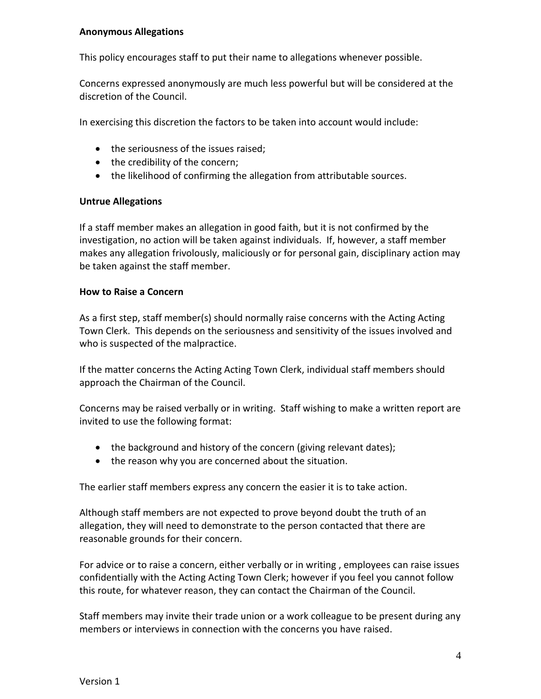#### **Anonymous Allegations**

This policy encourages staff to put their name to allegations whenever possible.

Concerns expressed anonymously are much less powerful but will be considered at the discretion of the Council.

In exercising this discretion the factors to be taken into account would include:

- the seriousness of the issues raised;
- the credibility of the concern;
- the likelihood of confirming the allegation from attributable sources.

#### **Untrue Allegations**

If a staff member makes an allegation in good faith, but it is not confirmed by the investigation, no action will be taken against individuals. If, however, a staff member makes any allegation frivolously, maliciously or for personal gain, disciplinary action may be taken against the staff member.

#### **How to Raise a Concern**

As a first step, staff member(s) should normally raise concerns with the Acting Acting Town Clerk. This depends on the seriousness and sensitivity of the issues involved and who is suspected of the malpractice.

If the matter concerns the Acting Acting Town Clerk, individual staff members should approach the Chairman of the Council.

Concerns may be raised verbally or in writing. Staff wishing to make a written report are invited to use the following format:

- the background and history of the concern (giving relevant dates);
- the reason why you are concerned about the situation.

The earlier staff members express any concern the easier it is to take action.

Although staff members are not expected to prove beyond doubt the truth of an allegation, they will need to demonstrate to the person contacted that there are reasonable grounds for their concern.

For advice or to raise a concern, either verbally or in writing , employees can raise issues confidentially with the Acting Acting Town Clerk; however if you feel you cannot follow this route, for whatever reason, they can contact the Chairman of the Council.

Staff members may invite their trade union or a work colleague to be present during any members or interviews in connection with the concerns you have raised.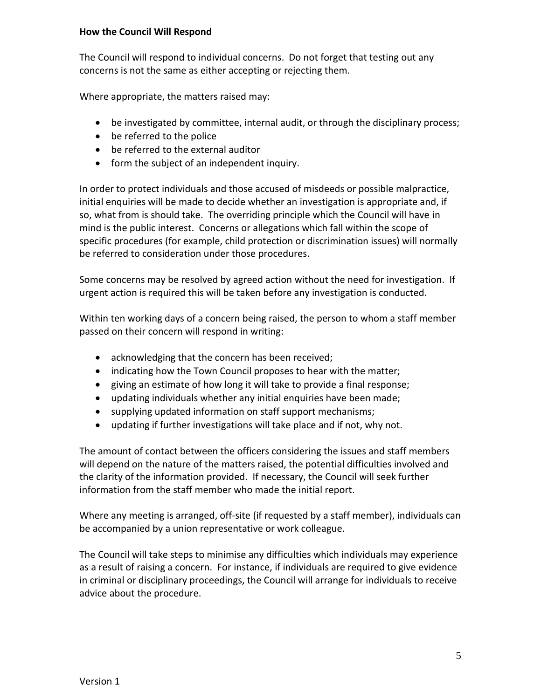#### **How the Council Will Respond**

The Council will respond to individual concerns. Do not forget that testing out any concerns is not the same as either accepting or rejecting them.

Where appropriate, the matters raised may:

- be investigated by committee, internal audit, or through the disciplinary process;
- be referred to the police
- be referred to the external auditor
- form the subject of an independent inquiry.

In order to protect individuals and those accused of misdeeds or possible malpractice, initial enquiries will be made to decide whether an investigation is appropriate and, if so, what from is should take. The overriding principle which the Council will have in mind is the public interest. Concerns or allegations which fall within the scope of specific procedures (for example, child protection or discrimination issues) will normally be referred to consideration under those procedures.

Some concerns may be resolved by agreed action without the need for investigation. If urgent action is required this will be taken before any investigation is conducted.

Within ten working days of a concern being raised, the person to whom a staff member passed on their concern will respond in writing:

- acknowledging that the concern has been received;
- indicating how the Town Council proposes to hear with the matter;
- giving an estimate of how long it will take to provide a final response;
- updating individuals whether any initial enquiries have been made;
- supplying updated information on staff support mechanisms;
- updating if further investigations will take place and if not, why not.

The amount of contact between the officers considering the issues and staff members will depend on the nature of the matters raised, the potential difficulties involved and the clarity of the information provided. If necessary, the Council will seek further information from the staff member who made the initial report.

Where any meeting is arranged, off-site (if requested by a staff member), individuals can be accompanied by a union representative or work colleague.

The Council will take steps to minimise any difficulties which individuals may experience as a result of raising a concern. For instance, if individuals are required to give evidence in criminal or disciplinary proceedings, the Council will arrange for individuals to receive advice about the procedure.